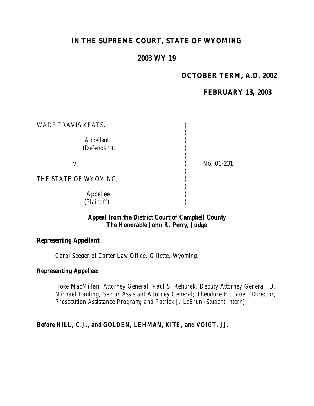# **IN THE SUPREME COURT, STATE OF WYOMING**

## **2003 WY 19**

## **OCTOBER TERM, A.D. 2002**

**FEBRUARY 13, 2003**

| WADE TRAVIS KEATS,        |            |
|---------------------------|------------|
| Appellant<br>(Defendant), |            |
| V.                        | No. 01-231 |
| THE STATE OF WYOMING,     |            |
| Appellee<br>(Plaintiff).  |            |

### *Appeal from the District Court of Campbell County The Honorable John R. Perry, Judge*

#### *Representing Appellant:*

*Carol Seeger of Carter Law Office, Gillette, Wyoming.*

#### *Representing Appellee:*

*Hoke MacMillan, Attorney General; Paul S. Rehurek, Deputy Attorney General; D. Michael Pauling, Senior Assistant Attorney General; Theodore E. Lauer, Director, Prosecution Assistance Program; and Patrick J. LeBrun (Student Intern).*

## *Before HILL, C.J., and GOLDEN, LEHMAN, KITE, and VOIGT, JJ.*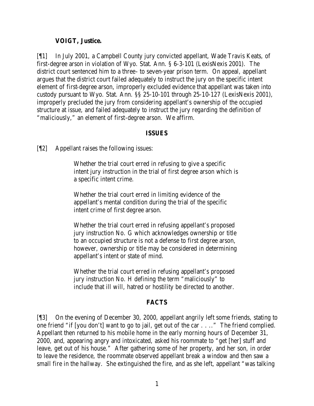#### **VOIGT, Justice.**

[¶1] In July 2001, a Campbell County jury convicted appellant, Wade Travis Keats, of first-degree arson in violation of Wyo. Stat. Ann. § 6-3-101 (LexisNexis 2001). The district court sentenced him to a three- to seven-year prison term. On appeal, appellant argues that the district court failed adequately to instruct the jury on the specific intent element of first-degree arson, improperly excluded evidence that appellant was taken into custody pursuant to Wyo. Stat. Ann. §§ 25-10-101 through 25-10-127 (LexisNexis 2001), improperly precluded the jury from considering appellant's ownership of the occupied structure at issue, and failed adequately to instruct the jury regarding the definition of "maliciously," an element of first-degree arson. We affirm.

#### **ISSUES**

[¶2] Appellant raises the following issues:

Whether the trial court erred in refusing to give a specific intent jury instruction in the trial of first degree arson which is a specific intent crime.

Whether the trial court erred in limiting evidence of the appellant's mental condition during the trial of the specific intent crime of first degree arson.

Whether the trial court erred in refusing appellant's proposed jury instruction No. G which acknowledges ownership or title to an occupied structure is not a defense to first degree arson, however, ownership or title may be considered in determining appellant's intent or state of mind.

Whether the trial court erred in refusing appellant's proposed jury instruction No. H defining the term "maliciously" to include that ill will, hatred or hostility be directed to another.

#### **FACTS**

[¶3] On the evening of December 30, 2000, appellant angrily left some friends, stating to one friend "if [you don't] want to go to jail, get out of the car . . .." The friend complied. Appellant then returned to his mobile home in the early morning hours of December 31, 2000, and, appearing angry and intoxicated, asked his roommate to "get [her] stuff and leave, get out of his house." After gathering some of her property, and her son, in order to leave the residence, the roommate observed appellant break a window and then saw a small fire in the hallway. She extinguished the fire, and as she left, appellant "was talking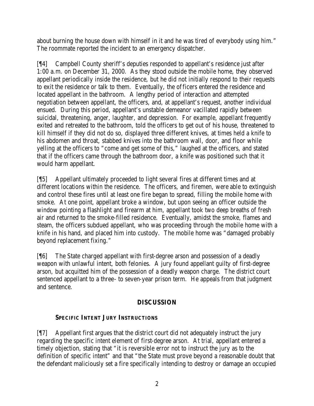about burning the house down with himself in it and he was tired of everybody using him." The roommate reported the incident to an emergency dispatcher.

[¶4] Campbell County sheriff's deputies responded to appellant's residence just after 1:00 a.m. on December 31, 2000. As they stood outside the mobile home, they observed appellant periodically inside the residence, but he did not initially respond to their requests to exit the residence or talk to them. Eventually, the officers entered the residence and located appellant in the bathroom. A lengthy period of interaction and attempted negotiation between appellant, the officers, and, at appellant's request, another individual ensued. During this period, appellant's unstable demeanor vacillated rapidly between suicidal, threatening, anger, laughter, and depression. For example, appellant frequently exited and retreated to the bathroom, told the officers to get out of his house, threatened to kill himself if they did not do so, displayed three different knives, at times held a knife to his abdomen and throat, stabbed knives into the bathroom wall, door, and floor while yelling at the officers to "come and get some of this," laughed at the officers, and stated that if the officers came through the bathroom door, a knife was positioned such that it would harm appellant.

[¶5] Appellant ultimately proceeded to light several fires at different times and at different locations within the residence. The officers, and firemen, were able to extinguish and control these fires until at least one fire began to spread, filling the mobile home with smoke. At one point, appellant broke a window, but upon seeing an officer outside the window pointing a flashlight and firearm at him, appellant took two deep breaths of fresh air and returned to the smoke-filled residence. Eventually, amidst the smoke, flames and steam, the officers subdued appellant, who was proceeding through the mobile home with a knife in his hand, and placed him into custody. The mobile home was "damaged probably beyond replacement fixing."

[¶6] The State charged appellant with first-degree arson and possession of a deadly weapon with unlawful intent, both felonies. A jury found appellant guilty of first-degree arson, but acquitted him of the possession of a deadly weapon charge. The district court sentenced appellant to a three- to seven-year prison term. He appeals from that judgment and sentence.

# **DISCUSSION**

# **SPECIFIC INTENT JURY INSTRUCTIONS**

[¶7] Appellant first argues that the district court did not adequately instruct the jury regarding the specific intent element of first-degree arson. At trial, appellant entered a timely objection, stating that "it is reversible error not to instruct the jury as to the definition of specific intent" and that "the State must prove beyond a reasonable doubt that the defendant maliciously set a fire specifically intending to destroy or damage an occupied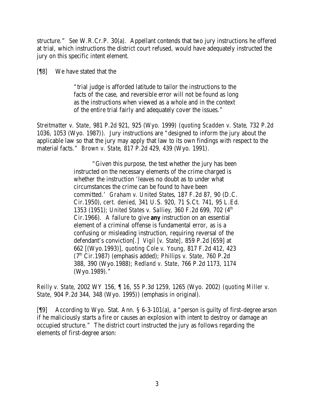structure." *See* W.R.Cr.P. 30(a). Appellant contends that two jury instructions he offered at trial, which instructions the district court refused, would have adequately instructed the jury on this specific intent element.

[¶8] We have stated that the

"trial judge is afforded latitude to tailor the instructions to the facts of the case, and reversible error will not be found as long as the instructions when viewed as a whole and in the context of the entire trial fairly and adequately cover the issues."

*Streitmatter v. State*, 981 P.2d 921, 925 (Wyo. 1999) (*quoting Scadden v. State*, 732 P.2d 1036, 1053 (Wyo. 1987)). Jury instructions are "designed to inform the jury about the applicable law so that the jury may apply that law to its own findings with respect to the material facts." *Brown v. State*, 817 P.2d 429, 439 (Wyo. 1991).

> "Given this purpose, the test whether the jury has been instructed on the necessary elements of the crime charged is whether the instruction 'leaves no doubt as to under what circumstances the crime can be found to have been committed.' *Graham v. United States*, 187 F.2d 87, 90 (D.C. Cir.1950), *cert. denied*, 341 U.S. 920, 71 S.Ct. 741, 95 L.Ed. 1353 (1951); *United States v. Salliey*, 360 F.2d 699, 702 (4 th Cir.1966). A failure to give *any* instruction on an essential element of a criminal offense is fundamental error, as is a confusing or misleading instruction, requiring reversal of the defendant's conviction[.] *Vigil [v. State]*, 859 P.2d [659] at 662 [(Wyo.1993)], *quoting Cole v. Young*, 817 F.2d 412, 423 (7th Cir.1987) (emphasis added); *Phillips v. State*, 760 P.2d 388, 390 (Wyo.1988); *Redland v. State*, 766 P.2d 1173, 1174 (Wyo.1989)."

*Reilly v. State*, 2002 WY 156, ¶ 16, 55 P.3d 1259, 1265 (Wyo. 2002) (*quoting Miller v. State*, 904 P.2d 344, 348 (Wyo. 1995)) (emphasis in original).

[¶9] According to Wyo. Stat. Ann. § 6-3-101(a), a "person is guilty of first-degree arson if he maliciously starts a fire or causes an explosion with intent to destroy or damage an occupied structure." The district court instructed the jury as follows regarding the elements of first-degree arson: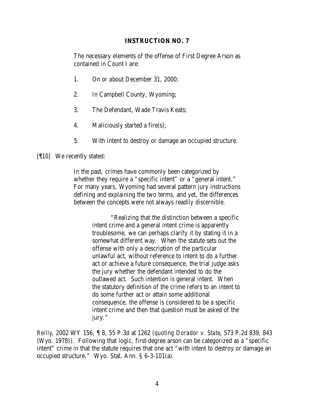### **INSTRUCTION NO. 7**

The necessary elements of the offense of First Degree Arson as contained in Count I are:

- 1. On or about December 31, 2000;
- 2. In Campbell County, Wyoming;
- 3. The Defendant, Wade Travis Keats;
- 4. Maliciously started a fire(s);
- 5. With intent to destroy or damage an occupied structure.

### [[[10] We recently stated:

In the past, crimes have commonly been categorized by whether they require a "specific intent" or a "general intent." For many years, Wyoming had several pattern jury instructions defining and explaining the two terms, and yet, the differences between the concepts were not always readily discernible.

> "Realizing that the distinction between a specific intent crime and a general intent crime is apparently troublesome, we can perhaps clarify it by stating it in a somewhat different way. When the statute sets out the offense with only a description of the particular unlawful act, without reference to intent to do a further act or achieve a future consequence, the trial judge asks the jury whether the defendant intended to do the outlawed act. Such intention is general intent. When the statutory definition of the crime refers to an intent to do some further act or attain some additional consequence, the offense is considered to be a specific intent crime and then that question must be asked of the jury."

*Reilly*, 2002 WY 156, ¶ 8, 55 P.3d at 1262 (*quoting Dorador v. State*, 573 P.2d 839, 843 (Wyo. 1978)). Following that logic, first-degree arson can be categorized as a "specific intent" crime in that the statute requires that one act "with intent to destroy or damage an occupied structure." Wyo. Stat. Ann. § 6-3-101(a).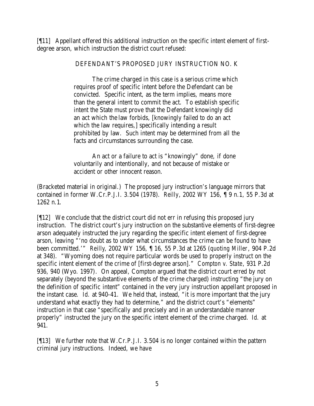[¶11] Appellant offered this additional instruction on the specific intent element of firstdegree arson, which instruction the district court refused:

### DEFENDANT'S PROPOSED JURY INSTRUCTION NO. K

The crime charged in this case is a serious crime which requires proof of specific intent before the Defendant can be convicted. Specific intent, as the term implies, means more than the general intent to commit the act. To establish specific intent the State must prove that the Defendant knowingly did an act which the law forbids, [knowingly failed to do an act which the law requires,] specifically intending a result prohibited by law. Such intent may be determined from all the facts and circumstances surrounding the case.

An act or a failure to act is "knowingly" done, if done voluntarily and intentionally, and not because of mistake or accident or other innocent reason.

(Bracketed material in original.) The proposed jury instruction's language mirrors that contained in former W.Cr.P.J.I. 3.504 (1978). *Reilly*, 2002 WY 156, ¶ 9 n.1, 55 P.3d at 1262 n.1.

[¶12] We conclude that the district court did not err in refusing this proposed jury instruction. The district court's jury instruction on the substantive elements of first-degree arson adequately instructed the jury regarding the specific intent element of first-degree arson, leaving "'no doubt as to under what circumstances the crime can be found to have been committed.'" *Reilly*, 2002 WY 156, ¶ 16, 55 P.3d at 1265 (*quoting Miller*, 904 P.2d at 348). "Wyoming does not require particular words be used to properly instruct on the specific intent element of the crime of [first-degree arson]." *Compton v. State*, 931 P.2d 936, 940 (Wyo. 1997). On appeal, Compton argued that the district court erred by not separately (beyond the substantive elements of the crime charged) instructing "the jury on the definition of specific intent" contained in the very jury instruction appellant proposed in the instant case. *Id.* at 940-41. We held that, instead, "it is more important that the jury understand what exactly they had to determine," and the district court's "elements" instruction in that case "specifically and precisely and in an understandable manner properly" instructed the jury on the specific intent element of the crime charged. *Id.* at 941.

[¶13] We further note that W.Cr.P.J.I. 3.504 is no longer contained within the pattern criminal jury instructions. Indeed, we have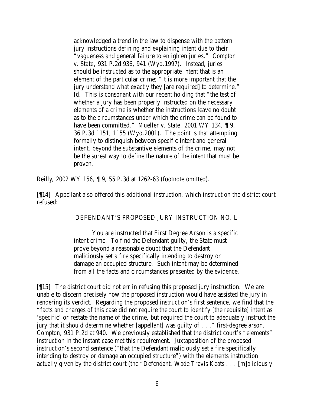acknowledged a trend in the law to dispense with the pattern jury instructions defining and explaining intent due to their "vagueness and general failure to enlighten juries." *Compton v. State*, 931 P.2d 936, 941 (Wyo.1997). Instead, juries should be instructed as to the appropriate intent that is an element of the particular crime; "it is more important that the jury understand what exactly they [are required] to determine." *Id.* This is consonant with our recent holding that "the test of whether a jury has been properly instructed on the necessary elements of a crime is whether the instructions leave no doubt as to the circumstances under which the crime can be found to have been committed." *Mueller v. State*, 2001 WY 134, ¶ 9, 36 P.3d 1151, 1155 (Wyo.2001). The point is that attempting formally to distinguish between specific intent and general intent, beyond the substantive elements of the crime, may not be the surest way to define the nature of the intent that must be proven.

*Reilly*, 2002 WY 156, ¶ 9, 55 P.3d at 1262-63 (footnote omitted).

[¶14] Appellant also offered this additional instruction, which instruction the district court refused:

#### DEFENDANT'S PROPOSED JURY INSTRUCTION NO. L

You are instructed that First Degree Arson is a specific intent crime. To find the Defendant guilty, the State must prove beyond a reasonable doubt that the Defendant maliciously set a fire specifically intending to destroy or damage an occupied structure. Such intent may be determined from all the facts and circumstances presented by the evidence.

[¶15] The district court did not err in refusing this proposed jury instruction. We are unable to discern precisely how the proposed instruction would have assisted the jury in rendering its verdict. Regarding the proposed instruction's first sentence, we find that the "facts and charges of this case did not require the court to identify [the requisite] intent as 'specific' or restate the name of the crime, but required the court to adequately instruct the jury that it should determine whether [appellant] was guilty of . . ." first-degree arson. *Compton*, 931 P.2d at 940. We previously established that the district court's "elements" instruction in the instant case met this requirement. Juxtaposition of the proposed instruction's second sentence ("that the Defendant maliciously set a fire specifically intending to destroy or damage an occupied structure") with the elements instruction actually given by the district court (the "Defendant, Wade Travis Keats . . . [m]aliciously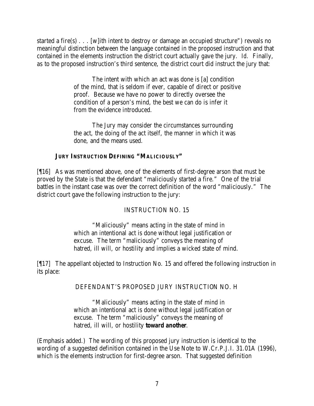started a fire(s) . . . [w]ith intent to destroy or damage an occupied structure") reveals no meaningful distinction between the language contained in the proposed instruction and that contained in the elements instruction the district court actually gave the jury. *Id.* Finally, as to the proposed instruction's third sentence, the district court did instruct the jury that:

> The intent with which an act was done is [a] condition of the mind, that is seldom if ever, capable of direct or positive proof. Because we have no power to directly oversee the condition of a person's mind, the best we can do is infer it from the evidence introduced.

The Jury may consider the circumstances surrounding the act, the doing of the act itself, the manner in which it was done, and the means used.

## **JURY INSTRUCTION DEFINING "MALICIOUSLY"**

[¶16] As was mentioned above, one of the elements of first-degree arson that must be proved by the State is that the defendant "maliciously started a fire." One of the trial battles in the instant case was over the correct definition of the word "maliciously." The district court gave the following instruction to the jury:

# INSTRUCTION NO. 15

"Maliciously" means acting in the state of mind in which an intentional act is done without legal justification or excuse. The term "maliciously" conveys the meaning of hatred, ill will, or hostility and implies a wicked state of mind.

[¶17] The appellant objected to Instruction No. 15 and offered the following instruction in its place:

# DEFENDANT'S PROPOSED JURY INSTRUCTION NO. H

"Maliciously" means acting in the state of mind in which an intentional act is done without legal justification or excuse. The term "maliciously" conveys the meaning of hatred, ill will, or hostility *toward another*.

(Emphasis added.) The wording of this proposed jury instruction is identical to the wording of a suggested definition contained in the Use Note to W.Cr.P.J.I. 31.01A (1996), which is the elements instruction for first-degree arson. That suggested definition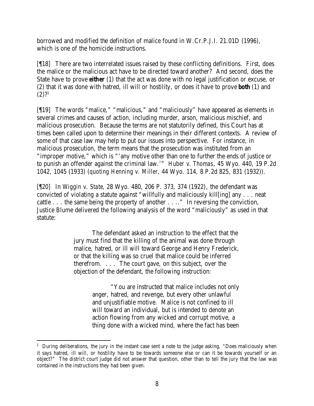borrowed and modified the definition of malice found in W.Cr.P.J.I. 21.01D (1996), which is one of the homicide instructions.

[¶18] There are two interrelated issues raised by these conflicting definitions. First, does the malice or the malicious act have to be directed toward another? And second, does the State have to prove *either* (1) that the act was done with no legal justification or excuse, or (2) that it was done with hatred, ill will or hostility, or does it have to prove *both* (1) and  $(2)$ ?<sup>1</sup>

[¶19] The words "malice," "malicious," and "maliciously" have appeared as elements in several crimes and causes of action, including murder, arson, malicious mischief, and malicious prosecution. Because the terms are not statutorily defined, this Court has at times been called upon to determine their meanings in their different contexts. A review of some of that case law may help to put our issues into perspective. For instance, in malicious prosecution, the term means that the prosecution was instituted from an "improper motive," which is "'any motive other than one to further the ends of justice or to punish an offender against the criminal law.'" *Huber v. Thomas*, 45 Wyo. 440, 19 P.2d 1042, 1045 (1933) (*quoting Henning v. Miller*, 44 Wyo. 114, 8 P.2d 825, 831 (1932)).

[¶20] In *Wiggin v. State*, 28 Wyo. 480, 206 P. 373, 374 (1922), the defendant was convicted of violating a statute against "willfully and maliciously kill[ing] any . . . neat cattle . . . the same being the property of another . . .." In reversing the conviction, Justice Blume delivered the following analysis of the word "maliciously" as used in that statute:

> The defendant asked an instruction to the effect that the jury must find that the killing of the animal was done through malice, hatred, or ill will toward George and Henry Frederick, or that the killing was so cruel that malice could be inferred therefrom. . . . The court gave, on this subject, over the objection of the defendant, the following instruction:

> > "You are instructed that malice includes not only anger, hatred, and revenge, but every other unlawful and unjustifiable motive. Malice is not confined to ill will toward an individual, but is intended to denote an action flowing from any wicked and corrupt motive, a thing done with a wicked mind, where the fact has been

<sup>&</sup>lt;sup>1</sup> During deliberations, the jury in the instant case sent a note to the judge asking, "Does maliciously when it says hatred, ill will, or hostility have to be towards someone else or can it be towards yourself or an object?" The district court judge did not answer that question, other than to tell the jury that the law was contained in the instructions they had been given.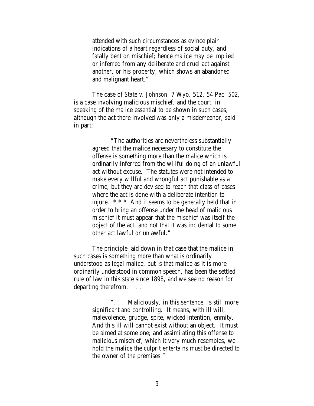attended with such circumstances as evince plain indications of a heart regardless of social duty, and fatally bent on mischief; hence malice may be implied or inferred from any deliberate and cruel act against another, or his property, which shows an abandoned and malignant heart."

The case of *State v. Johnson*, 7 Wyo. 512, 54 Pac. 502, is a case involving malicious mischief, and the court, in speaking of the malice essential to be shown in such cases, although the act there involved was only a misdemeanor, said in part:

> "The authorities are nevertheless substantially agreed that the malice necessary to constitute the offense is something more than the malice which is ordinarily inferred from the willful doing of an unlawful act without excuse. The statutes were not intended to make every willful and wrongful act punishable as a crime, but they are devised to reach that class of cases where the act is done with a deliberate intention to injure.  $***$  And it seems to be generally held that in order to bring an offense under the head of malicious mischief it must appear that the mischief was itself the object of the act, and not that it was incidental to some other act lawful or unlawful."

The principle laid down in that case that the malice in such cases is something more than what is ordinarily understood as legal malice, but is that malice as it is more ordinarily understood in common speech, has been the settled rule of law in this state since 1898, and we see no reason for departing therefrom. . . .

> ". . . Maliciously, in this sentence, is still more significant and controlling. It means, with ill will, malevolence, grudge, spite, wicked intention, enmity. And this ill will cannot exist without an object. It must be aimed at some one; and assimilating this offense to malicious mischief, which it very much resembles, we hold the malice the culprit entertains must be directed to the owner of the premises."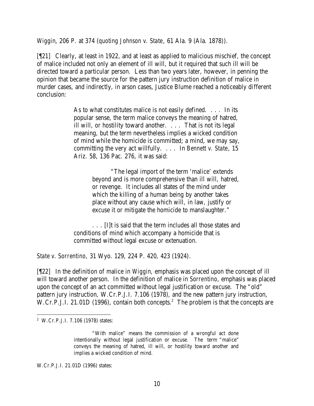*Wiggin*, 206 P. at 374 (*quoting Johnson v. State*, 61 Ala. 9 (Ala. 1878)).

[¶21] Clearly, at least in 1922, and at least as applied to malicious mischief, the concept of malice included not only an element of ill will, but it required that such ill will be directed toward a particular person. Less than two years later, however, in penning the opinion that became the source for the pattern jury instruction definition of malice in murder cases, and indirectly, in arson cases, Justice Blume reached a noticeably different conclusion:

> As to what constitutes malice is not easily defined. . . . In its popular sense, the term malice conveys the meaning of hatred, ill will, or hostility toward another. . . . That is not its legal meaning, but the term nevertheless implies a wicked condition of mind while the homicide is committed; a mind, we may say, committing the very act willfully. . . . In *Bennett v. State*, 15 Ariz. 58, 136 Pac. 276, it was said:

> > "The legal import of the term 'malice' extends beyond and is more comprehensive than ill will, hatred, or revenge. It includes all states of the mind under which the killing of a human being by another takes place without any cause which will, in law, justify or excuse it or mitigate the homicide to manslaughter."

. . . [I]t is said that the term includes all those states and conditions of mind which accompany a homicide that is committed without legal excuse or extenuation.

*State v. Sorrentino*, 31 Wyo. 129, 224 P. 420, 423 (1924).

[¶22] In the definition of malice in *Wiggin*, emphasis was placed upon the concept of ill will toward another person. In the definition of malice in *Sorrentino*, emphasis was placed upon the concept of an act committed without legal justification or excuse. The "old" pattern jury instruction, W.Cr.P.J.I. 7.106 (1978), and the new pattern jury instruction, W.Cr.P.J.I. 21.01D (1996), contain both concepts.<sup>2</sup> The problem is that the concepts are

W.Cr.P.J.I. 21.01D (1996) states:

<sup>2</sup> W.Cr.P.J.I. 7.106 (1978) states:

<sup>&</sup>quot;With malice" means the commission of a wrongful act done intentionally without legal justification or excuse. The term "malice" conveys the meaning of hatred, ill will, or hostility toward another and implies a wicked condition of mind.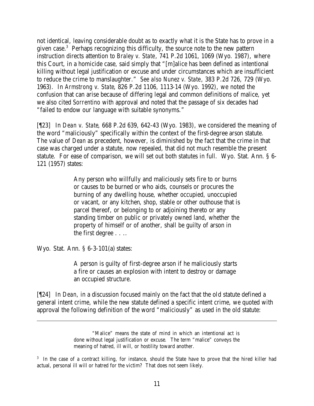not identical, leaving considerable doubt as to exactly what it is the State has to prove in a given case.<sup>3</sup> Perhaps recognizing this difficulty, the source note to the new pattern instruction directs attention to *Braley v. State*, 741 P.2d 1061, 1069 (Wyo. 1987), where this Court, in a homicide case, said simply that "[m]alice has been defined as intentional killing without legal justification or excuse and under circumstances which are insufficient to reduce the crime to manslaughter." *See also Nunez v. State*, 383 P.2d 726, 729 (Wyo. 1963). In *Armstrong v. State*, 826 P.2d 1106, 1113-14 (Wyo. 1992), we noted the confusion that can arise because of differing legal and common definitions of malice, yet we also cited *Sorrentino* with approval and noted that the passage of six decades had "failed to endow our language with suitable synonyms."

[¶23] In *Dean v. State*, 668 P.2d 639, 642-43 (Wyo. 1983), we considered the meaning of the word "maliciously" specifically within the context of the first-degree arson statute. The value of *Dean* as precedent, however, is diminished by the fact that the crime in that case was charged under a statute, now repealed, that did not much resemble the present statute. For ease of comparison, we will set out both statutes in full. Wyo. Stat. Ann. § 6- 121 (1957) states:

> Any person who willfully and maliciously sets fire to or burns or causes to be burned or who aids, counsels or procures the burning of any dwelling house, whether occupied, unoccupied or vacant, or any kitchen, shop, stable or other outhouse that is parcel thereof, or belonging to or adjoining thereto or any standing timber on public or privately owned land, whether the property of himself or of another, shall be guilty of arson in the first degree . . ..

Wyo. Stat. Ann. § 6-3-101(a) states:

A person is guilty of first-degree arson if he maliciously starts a fire or causes an explosion with intent to destroy or damage an occupied structure.

[¶24] In *Dean*, in a discussion focused mainly on the fact that the old statute defined a general intent crime, while the new statute defined a specific intent crime, we quoted with approval the following definition of the word "maliciously" as used in the old statute:

<sup>&</sup>quot;Malice" means the state of mind in which an intentional act is done without legal justification or excuse. The term "malice" conveys the meaning of hatred, ill will, or hostility toward another.

<sup>&</sup>lt;sup>3</sup> In the case of a contract killing, for instance, should the State have to prove that the hired killer had actual, personal ill will or hatred for the victim? That does not seem likely.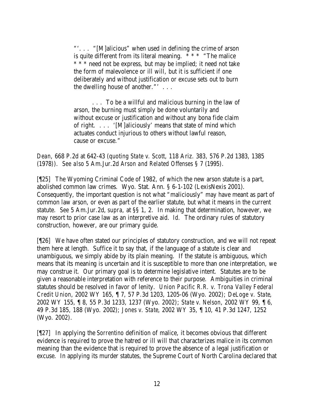"'. . . "[M]alicious" when used in defining the crime of arson is quite different from its literal meaning.  $***$  "The malice" \* \* \* need not be express, but may be implied; it need not take the form of malevolence or ill will, but it is sufficient if one deliberately and without justification or excuse sets out to burn the dwelling house of another."' . . .

. . . To be a willful and malicious burning in the law of arson, the burning must simply be done voluntarily and without excuse or justification and without any bona fide claim of right. . . . '[M]aliciously' means that state of mind which actuates conduct injurious to others without lawful reason, cause or excuse."

*Dean*, 668 P.2d at 642-43 (*quoting State v. Scott*, 118 Ariz. 383, 576 P.2d 1383, 1385 (1978)). *See also* 5 Am.Jur.2d *Arson and Related Offenses* § 7 (1995).

[¶25] The Wyoming Criminal Code of 1982, of which the new arson statute is a part, abolished common law crimes. Wyo. Stat. Ann. § 6-1-102 (LexisNexis 2001). Consequently, the important question is not what "maliciously" may have meant as part of common law arson, or even as part of the earlier statute, but what it means in the current statute. *See* 5 Am.Jur.2d, *supra*, at §§ 1, 2. In making that determination, however, we may resort to prior case law as an interpretive aid. *Id.* The ordinary rules of statutory construction, however, are our primary guide.

[¶26] We have often stated our principles of statutory construction, and we will not repeat them here at length. Suffice it to say that, if the language of a statute is clear and unambiguous, we simply abide by its plain meaning. If the statute is ambiguous, which means that its meaning is uncertain and it is susceptible to more than one interpretation, we may construe it. Our primary goal is to determine legislative intent. Statutes are to be given a reasonable interpretation with reference to their purpose. Ambiguities in criminal statutes should be resolved in favor of lenity. *Union Pacific R.R. v. Trona Valley Federal Credit Union*, 2002 WY 165, ¶ 7, 57 P.3d 1203, 1205-06 (Wyo. 2002); *DeLoge v. State*, 2002 WY 155, ¶ 8, 55 P.3d 1233, 1237 (Wyo. 2002); *State v. Nelson*, 2002 WY 99, ¶ 6, 49 P.3d 185, 188 (Wyo. 2002); *Jones v. State*, 2002 WY 35, ¶ 10, 41 P.3d 1247, 1252 (Wyo. 2002).

[¶27] In applying the *Sorrentino* definition of malice, it becomes obvious that different evidence is required to prove the hatred or ill will that characterizes malice in its common meaning than the evidence that is required to prove the absence of a legal justification or excuse. In applying its murder statutes, the Supreme Court of North Carolina declared that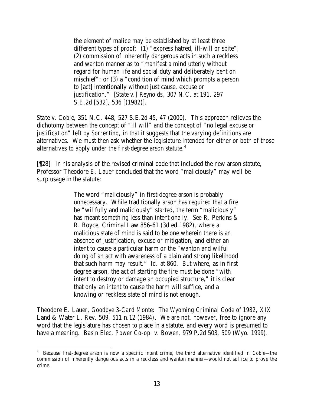the element of malice may be established by at least three different types of proof: (1) "express hatred, ill-will or spite"; (2) commission of inherently dangerous acts in such a reckless and wanton manner as to "manifest a mind utterly without regard for human life and social duty and deliberately bent on mischief"; or (3) a "condition of mind which prompts a person to [act] intentionally without just cause, excuse or justification." [*State v.] Reynolds*, 307 N.C. at 191, 297 S.E.2d [532], 536 [(1982)].

*State v. Coble*, 351 N.C. 448, 527 S.E.2d 45, 47 (2000). This approach relieves the dichotomy between the concept of "ill will" and the concept of "no legal excuse or justification" left by *Sorrentino*, in that it suggests that the varying definitions are alternatives. We must then ask whether the legislature intended for either or both of those alternatives to apply under the first-degree arson statute.<sup>4</sup>

[¶28] In his analysis of the revised criminal code that included the new arson statute, Professor Theodore E. Lauer concluded that the word "maliciously" may well be surplusage in the statute:

> The word "maliciously" in first-degree arson is probably unnecessary. While traditionally arson has required that a fire be "willfully and maliciously" started, the term "maliciously" has meant something less than intentionally. *See* R. Perkins & R. Boyce, Criminal Law 856-61 (3d ed.1982), where a malicious state of mind is said to be one wherein there is an absence of justification, excuse or mitigation, and either an intent to cause a particular harm or the "wanton and wilful doing of an act with awareness of a plain and strong likelihood that such harm may result." *Id.* at 860. But where, as in first degree arson, the act of starting the fire must be done "with intent to destroy or damage an occupied structure," it is clear that only an intent to cause the harm will suffice, and a knowing or reckless state of mind is not enough.

Theodore E. Lauer, *Goodbye 3-Card Monte: The Wyoming Criminal Code of 1982*, XIX Land & Water L. Rev. 509, 511 n.12 (1984). We are not, however, free to ignore any word that the legislature has chosen to place in a statute, and every word is presumed to have a meaning. *Basin Elec. Power Co-op. v. Bowen*, 979 P.2d 503, 509 (Wyo. 1999).

<sup>4</sup> Because first-degree arson is now a specific intent crime, the third alternative identified in *Coble*—the commission of inherently dangerous acts in a reckless and wanton manner—would not suffice to prove the crime.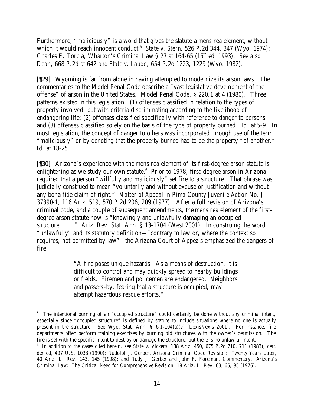Furthermore, "maliciously" is a word that gives the statute a *mens rea* element, without which it would reach innocent conduct.<sup>5</sup> State v. Stern, 526 P.2d 344, 347 (Wyo. 1974); Charles E. Torcia, Wharton's Criminal Law § 27 at 164-65 (15<sup>th</sup> ed. 1993). *See also Dean*, 668 P.2d at 642 and *State v. Laude*, 654 P.2d 1223, 1229 (Wyo. 1982).

[¶29] Wyoming is far from alone in having attempted to modernize its arson laws. The commentaries to the Model Penal Code describe a "vast legislative development of the offense" of arson in the United States. Model Penal Code, § 220.1 at 4 (1980). Three patterns existed in this legislation: (1) offenses classified in relation to the types of property involved, but with criteria discriminating according to the likelihood of endangering life; (2) offenses classified specifically with reference to danger to persons; and (3) offenses classified solely on the basis of the type of property burned. *Id.* at 5-9. In most legislation, the concept of danger to others was incorporated through use of the term "maliciously" or by denoting that the property burned had to be the property "of another." *Id.* at 18-25.

[¶30] Arizona's experience with the *mens rea* element of its first-degree arson statute is enlightening as we study our own statute. $6$  Prior to 1978, first-degree arson in Arizona required that a person "willfully and maliciously" set fire to a structure. That phrase was judicially construed to mean "voluntarily and without excuse or justification and without any bona fide claim of right." *Matter of Appeal in Pima County Juvenile Action No. J-37390-1*, 116 Ariz. 519, 570 P.2d 206, 209 (1977). After a full revision of Arizona's criminal code, and a couple of subsequent amendments, the *mens rea* element of the firstdegree arson statute now is "knowingly and unlawfully damaging an occupied structure . . .." Ariz. Rev. Stat. Ann. § 13-1704 (West 2001). In construing the word "unlawfully" and its statutory definition—"contrary to law or, where the context so requires, not permitted by law"—the Arizona Court of Appeals emphasized the dangers of fire:

> "A fire poses unique hazards. As a means of destruction, it is difficult to control and may quickly spread to nearby buildings or fields. Firemen and policemen are endangered. Neighbors and passers-by, fearing that a structure is occupied, may attempt hazardous rescue efforts."

<sup>&</sup>lt;sup>5</sup> The intentional burning of an "occupied structure" could certainly be done without any criminal intent, especially since "occupied structure" is defined by statute to include situations where no one is actually present in the structure. *See* Wyo. Stat. Ann. § 6-1-104(a)(v) (LexisNexis 2001). For instance, fire departments often perform training exercises by burning old structures with the owner's permission. The fire is set with the specific intent to destroy or damage the structure, but there is no unlawful intent.

<sup>6</sup> In addition to the cases cited herein, *see State v. Vickers*, 138 Ariz. 450, 675 P.2d 710, 711 (1983), *cert. denied*, 497 U.S. 1033 (1990); Rudolph J. Gerber, *Arizona Criminal Code Revision: Twenty Years Later*, 40 Ariz. L. Rev. 143, 145 (1998); and Rudy J. Gerber and John F. Foreman, Commentary, *Arizona's Criminal Law: The Critical Need for Comprehensive Revision*, 18 Ariz. L. Rev. 63, 65, 95 (1976).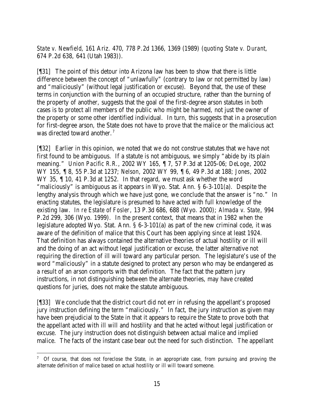*State v. Newfield*, 161 Ariz. 470, 778 P.2d 1366, 1369 (1989) (*quoting State v. Durant*, 674 P.2d 638, 641 (Utah 1983)).

[¶31] The point of this detour into Arizona law has been to show that there is little difference between the concept of "unlawfully" (contrary to law or not permitted by law) and "maliciously" (without legal justification or excuse). Beyond that, the use of these terms in conjunction with the burning of an occupied structure, rather than the burning of the property of another, suggests that the goal of the first-degree arson statutes in both cases is to protect all members of the public who might be harmed, not just the owner of the property or some other identified individual. In turn, this suggests that in a prosecution for first-degree arson, the State does not have to prove that the malice or the malicious act was directed toward another.<sup>7</sup>

[¶32] Earlier in this opinion, we noted that we do not construe statutes that we have not first found to be ambiguous. If a statute is not ambiguous, we simply "abide by its plain meaning." *Union Pacific R.R.*, 2002 WY 165, ¶ 7, 57 P.3d at 1205-06; *DeLoge*, 2002 WY 155, ¶ 8, 55 P.3d at 1237; *Nelson*, 2002 WY 99, ¶ 6, 49 P.3d at 188; *Jones*, 2002 WY 35, ¶ 10, 41 P.3d at 1252. In that regard, we must ask whether the word "maliciously" is ambiguous as it appears in Wyo. Stat. Ann. § 6-3-101(a). Despite the lengthy analysis through which we have just gone, we conclude that the answer is "no." In enacting statutes, the legislature is presumed to have acted with full knowledge of the existing law. *In re Estate of Fosler*, 13 P.3d 686, 688 (Wyo. 2000); *Almada v. State*, 994 P.2d 299, 306 (Wyo. 1999). In the present context, that means that in 1982 when the legislature adopted Wyo. Stat. Ann. § 6-3-101(a) as part of the new criminal code, it was aware of the definition of malice that this Court has been applying since at least 1924. That definition has always contained the alternative theories of actual hostility or ill will and the doing of an act without legal justification or excuse, the latter alternative not requiring the direction of ill will toward any particular person. The legislature's use of the word "maliciously" in a statute designed to protect any person who may be endangered as a result of an arson comports with that definition. The fact that the pattern jury instructions, in not distinguishing between the alternate theories, may have created questions for juries, does not make the statute ambiguous.

[¶33] We conclude that the district court did not err in refusing the appellant's proposed jury instruction defining the term "maliciously." In fact, the jury instruction as given may have been prejudicial to the State in that it appears to require the State to prove both that the appellant acted with ill will and hostility and that he acted without legal justification or excuse. The jury instruction does not distinguish between actual malice and implied malice. The facts of the instant case bear out the need for such distinction. The appellant

<sup>&</sup>lt;sup>7</sup> Of course, that does not foreclose the State, in an appropriate case, from pursuing and proving the alternate definition of malice based on actual hostility or ill will toward someone.